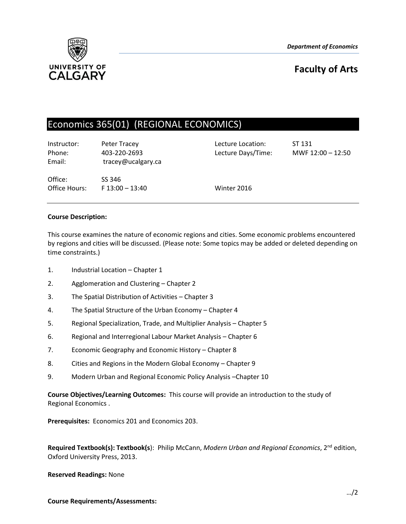*Department of Economics*



# **Faculty of Arts**

# Economics 365(01) (REGIONAL ECONOMICS)

Instructor: Peter Tracey Lecture Location: ST 131 Phone: 403-220-2693 Lecture Days/Time: MWF 12:00 – 12:50 Email: tracey@ucalgary.ca

Office: SS 346 Office Hours: F 13:00 – 13:40 Winter 2016

# **Course Description:**

This course examines the nature of economic regions and cities. Some economic problems encountered by regions and cities will be discussed. (Please note: Some topics may be added or deleted depending on time constraints.)

- 1. Industrial Location Chapter 1
- 2. Agglomeration and Clustering Chapter 2
- 3. The Spatial Distribution of Activities Chapter 3
- 4. The Spatial Structure of the Urban Economy Chapter 4
- 5. Regional Specialization, Trade, and Multiplier Analysis Chapter 5
- 6. Regional and Interregional Labour Market Analysis Chapter 6
- 7. Economic Geography and Economic History Chapter 8
- 8. Cities and Regions in the Modern Global Economy Chapter 9
- 9. Modern Urban and Regional Economic Policy Analysis –Chapter 10

**Course Objectives/Learning Outcomes:** This course will provide an introduction to the study of Regional Economics .

**Prerequisites:** Economics 201 and Economics 203.

Required Textbook(s): Textbook(s): Philip McCann, Modern Urban and Regional Economics, 2<sup>nd</sup> edition, Oxford University Press, 2013.

**Reserved Readings:** None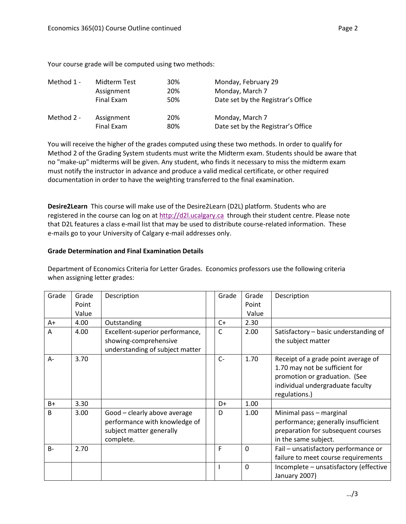Your course grade will be computed using two methods:

| Method 1 - | Midterm Test | 30% | Monday, February 29                |
|------------|--------------|-----|------------------------------------|
|            | Assignment   | 20% | Monday, March 7                    |
|            | Final Exam   | 50% | Date set by the Registrar's Office |
| Method 2 - | Assignment   | 20% | Monday, March 7                    |
|            | Final Exam   | 80% | Date set by the Registrar's Office |

You will receive the higher of the grades computed using these two methods. In order to qualify for Method 2 of the Grading System students must write the Midterm exam. Students should be aware that no "make-up" midterms will be given. Any student, who finds it necessary to miss the midterm exam must notify the instructor in advance and produce a valid medical certificate, or other required documentation in order to have the weighting transferred to the final examination.

**Desire2Learn** This course will make use of the Desire2Learn (D2L) platform. Students who are registered in the course can log on at [http://d2l.ucalgary.ca](http://d2l.ucalgary.ca/) through their student centre. Please note that D2L features a class e-mail list that may be used to distribute course-related information. These e-mails go to your University of Calgary e-mail addresses only.

# **Grade Determination and Final Examination Details**

Department of Economics Criteria for Letter Grades. Economics professors use the following criteria when assigning letter grades:

| Grade          | Grade | Description                                                                                            | Grade | Grade        | Description                                                                                                                                                 |
|----------------|-------|--------------------------------------------------------------------------------------------------------|-------|--------------|-------------------------------------------------------------------------------------------------------------------------------------------------------------|
|                | Point |                                                                                                        |       | Point        |                                                                                                                                                             |
|                | Value |                                                                                                        |       | Value        |                                                                                                                                                             |
| A+             | 4.00  | Outstanding                                                                                            | $C+$  | 2.30         |                                                                                                                                                             |
| $\overline{A}$ | 4.00  | Excellent-superior performance,<br>showing-comprehensive<br>understanding of subject matter            | C     | 2.00         | Satisfactory - basic understanding of<br>the subject matter                                                                                                 |
| A-             | 3.70  |                                                                                                        | $C-$  | 1.70         | Receipt of a grade point average of<br>1.70 may not be sufficient for<br>promotion or graduation. (See<br>individual undergraduate faculty<br>regulations.) |
| $B+$           | 3.30  |                                                                                                        | D+    | 1.00         |                                                                                                                                                             |
| B              | 3.00  | Good - clearly above average<br>performance with knowledge of<br>subject matter generally<br>complete. | D     | 1.00         | Minimal pass - marginal<br>performance; generally insufficient<br>preparation for subsequent courses<br>in the same subject.                                |
| $B -$          | 2.70  |                                                                                                        | F     | $\Omega$     | Fail - unsatisfactory performance or<br>failure to meet course requirements                                                                                 |
|                |       |                                                                                                        |       | $\mathbf{0}$ | Incomplete - unsatisfactory (effective<br>January 2007)                                                                                                     |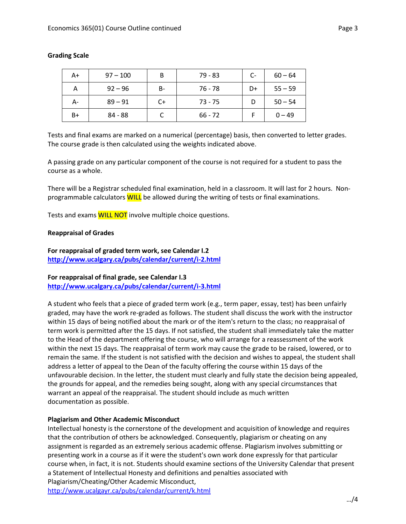| A+ | $97 - 100$ | В    | 79 - 83   | $C-$ | $60 - 64$ |
|----|------------|------|-----------|------|-----------|
| А  | $92 - 96$  | B-   | 76 - 78   | D+   | $55 - 59$ |
| А- | $89 - 91$  | $C+$ | $73 - 75$ |      | $50 - 54$ |
| B+ | 84 - 88    |      | $66 - 72$ |      | $0 - 49$  |

# **Grading Scale**

Tests and final exams are marked on a numerical (percentage) basis, then converted to letter grades. The course grade is then calculated using the weights indicated above.

A passing grade on any particular component of the course is not required for a student to pass the course as a whole.

There will be a Registrar scheduled final examination, held in a classroom. It will last for 2 hours. Nonprogrammable calculators **WILL** be allowed during the writing of tests or final examinations.

Tests and exams **WILL NOT** involve multiple choice questions.

#### **Reappraisal of Grades**

**For reappraisal of graded term work, see Calendar I.2 <http://www.ucalgary.ca/pubs/calendar/current/i-2.html>**

# **For reappraisal of final grade, see Calendar I.3 <http://www.ucalgary.ca/pubs/calendar/current/i-3.html>**

A student who feels that a piece of graded term work (e.g., term paper, essay, test) has been unfairly graded, may have the work re-graded as follows. The student shall discuss the work with the instructor within 15 days of being notified about the mark or of the item's return to the class; no reappraisal of term work is permitted after the 15 days. If not satisfied, the student shall immediately take the matter to the Head of the department offering the course, who will arrange for a reassessment of the work within the next 15 days. The reappraisal of term work may cause the grade to be raised, lowered, or to remain the same. If the student is not satisfied with the decision and wishes to appeal, the student shall address a letter of appeal to the Dean of the faculty offering the course within 15 days of the unfavourable decision. In the letter, the student must clearly and fully state the decision being appealed, the grounds for appeal, and the remedies being sought, along with any special circumstances that warrant an appeal of the reappraisal. The student should include as much written documentation as possible.

# **Plagiarism and Other Academic Misconduct**

Intellectual honesty is the cornerstone of the development and acquisition of knowledge and requires that the contribution of others be acknowledged. Consequently, plagiarism or cheating on any assignment is regarded as an extremely serious academic offense. Plagiarism involves submitting or presenting work in a course as if it were the student's own work done expressly for that particular course when, in fact, it is not. Students should examine sections of the University Calendar that present a Statement of Intellectual Honesty and definitions and penalties associated with Plagiarism/Cheating/Other Academic Misconduct, <http://www.ucalgayr.ca/pubs/calendar/current/k.html>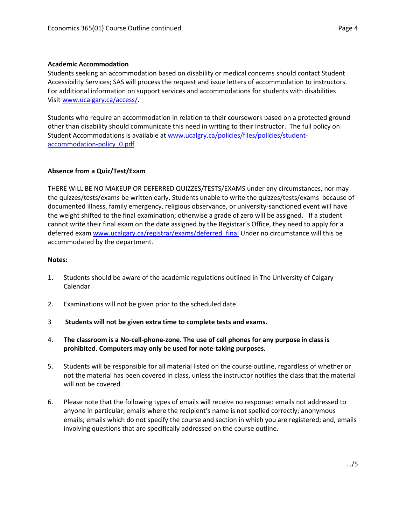#### **Academic Accommodation**

Students seeking an accommodation based on disability or medical concerns should contact Student Accessibility Services; SAS will process the request and issue letters of accommodation to instructors. For additional information on support services and accommodations for students with disabilities Visit [www.ucalgary.ca/access/.](http://www.ucalgary.ca/access/)

Students who require an accommodation in relation to their coursework based on a protected ground other than disability should communicate this need in writing to their Instructor. The full policy on Student Accommodations is available at [www.ucalgry.ca/policies/files/policies/student](http://www.ucalgry.ca/policies/files/policies/student-accommodation-policy_0.pdf)[accommodation-policy\\_0.pdf](http://www.ucalgry.ca/policies/files/policies/student-accommodation-policy_0.pdf)

#### **Absence from a Quiz/Test/Exam**

THERE WILL BE NO MAKEUP OR DEFERRED QUIZZES/TESTS/EXAMS under any circumstances, nor may the quizzes/tests/exams be written early. Students unable to write the quizzes/tests/exams because of documented illness, family emergency, religious observance, or university-sanctioned event will have the weight shifted to the final examination; otherwise a grade of zero will be assigned. If a student cannot write their final exam on the date assigned by the Registrar's Office, they need to apply for a deferred exam [www.ucalgary.ca/registrar/exams/deferred\\_final](http://www.ucalgary.ca/registrar/exams/deferred_final) Under no circumstance will this be accommodated by the department.

#### **Notes:**

- 1. Students should be aware of the academic regulations outlined in The University of Calgary Calendar.
- 2. Examinations will not be given prior to the scheduled date.
- 3 **Students will not be given extra time to complete tests and exams.**
- 4. **The classroom is a No-cell-phone-zone. The use of cell phones for any purpose in class is prohibited. Computers may only be used for note-taking purposes.**
- 5. Students will be responsible for all material listed on the course outline, regardless of whether or not the material has been covered in class, unless the instructor notifies the class that the material will not be covered.
- 6. Please note that the following types of emails will receive no response: emails not addressed to anyone in particular; emails where the recipient's name is not spelled correctly; anonymous emails; emails which do not specify the course and section in which you are registered; and, emails involving questions that are specifically addressed on the course outline.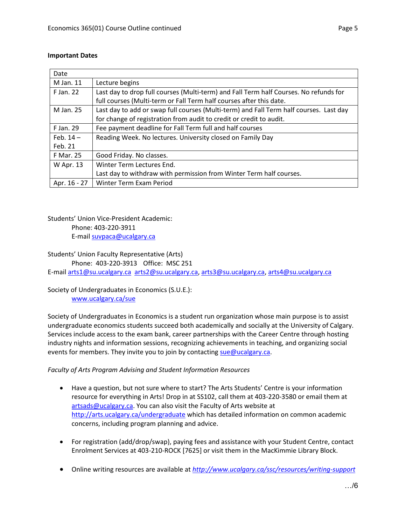# **Important Dates**

| Date         |                                                                                        |
|--------------|----------------------------------------------------------------------------------------|
| M Jan. 11    | Lecture begins                                                                         |
| F Jan. 22    | Last day to drop full courses (Multi-term) and Fall Term half Courses. No refunds for  |
|              | full courses (Multi-term or Fall Term half courses after this date.                    |
| M Jan. 25    | Last day to add or swap full courses (Multi-term) and Fall Term half courses. Last day |
|              | for change of registration from audit to credit or credit to audit.                    |
| F Jan. 29    | Fee payment deadline for Fall Term full and half courses                               |
| Feb. $14-$   | Reading Week. No lectures. University closed on Family Day                             |
| Feb. 21      |                                                                                        |
| F Mar. 25    | Good Friday. No classes.                                                               |
| W Apr. 13    | Winter Term Lectures End.                                                              |
|              | Last day to withdraw with permission from Winter Term half courses.                    |
| Apr. 16 - 27 | Winter Term Exam Period                                                                |

Students' Union Vice-President Academic: Phone: 403-220-3911

E-mai[l suvpaca@ucalgary.ca](mailto:subpaca@ucalgary.ca)

# Students' Union Faculty Representative (Arts)

Phone: 403-220-3913 Office: MSC 251

E-mai[l arts1@su.ucalgary.ca](mailto:arts1@su.ucalgary.ca) [arts2@su.ucalgary.ca,](mailto:arts2@su.ucalgary.ca) [arts3@su.ucalgary.ca,](mailto:arts3@su.ucalgary.ca) [arts4@su.ucalgary.ca](mailto:arts4@su.ucalgary.ca)

# Society of Undergraduates in Economics (S.U.E.):

[www.ucalgary.ca/sue](http://www.fp.ucalgary.ca/econ)

Society of Undergraduates in Economics is a student run organization whose main purpose is to assist undergraduate economics students succeed both academically and socially at the University of Calgary. Services include access to the exam bank, career partnerships with the Career Centre through hosting industry nights and information sessions, recognizing achievements in teaching, and organizing social events for members. They invite you to join by contacting [sue@ucalgary.ca.](mailto:sue@ucalgary.ca)

# *Faculty of Arts Program Advising and Student Information Resources*

- Have a question, but not sure where to start? The Arts Students' Centre is your information resource for everything in Arts! Drop in at SS102, call them at 403-220-3580 or email them at [artsads@ucalgary.ca.](mailto:artsads@ucalgary.ca) You can also visit the Faculty of Arts website at <http://arts.ucalgary.ca/undergraduate> which has detailed information on common academic concerns, including program planning and advice.
- For registration (add/drop/swap), paying fees and assistance with your Student Centre, contact Enrolment Services at 403-210-ROCK [7625] or visit them in the MacKimmie Library Block.
- Online writing resources are available at *<http://www.ucalgary.ca/ssc/resources/writing-support>*